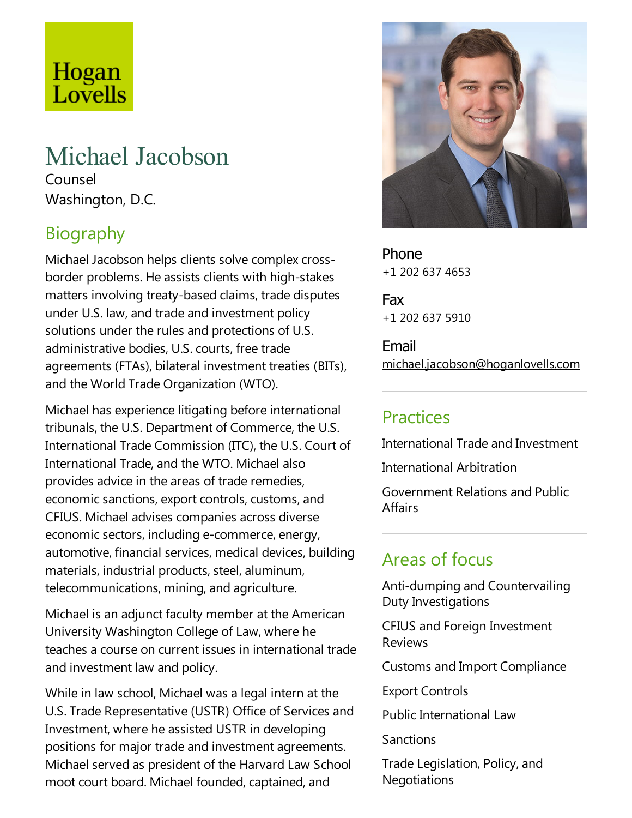# Hogan Lovells

## Michael Jacobson

Counsel Washington, D.C.

## Biography

Michael Jacobson helps clients solve complex crossborder problems. He assists clients with high-stakes matters involving treaty-based claims, trade disputes under U.S. law, and trade and investment policy solutions under the rules and protections of U.S. administrative bodies, U.S. courts, free trade agreements (FTAs), bilateral investment treaties (BITs), and the World Trade Organization (WTO).

Michael has experience litigating before international tribunals, the U.S. Department of Commerce, the U.S. International Trade Commission (ITC), the U.S. Court of International Trade, and the WTO. Michael also provides advice in the areas of trade remedies, economic sanctions, export controls, customs, and CFIUS.Michael advises companies across diverse economic sectors, including e-commerce, energy, automotive, financial services, medical devices, building materials, industrial products, steel, aluminum, telecommunications, mining, and agriculture.

Michael is an adjunct faculty member at the American University Washington College of Law, where he teaches acourse on current issues in international trade and investment law and policy.

While in law school, Michael was a legal intern at the U.S.Trade Representative(USTR) Office of Services and Investment, where he assisted USTR in developing positions for major trade and investment agreements. Michael served as president of the Harvard Law School moot court board. Michael founded, captained, and



Phone +1 202 637 4653

Fax +1 202 637 5910

Email michael.jacobson@hoganlovells.com

## **Practices**

International Trade and Investment

International Arbitration

Government Relations and Public **Affairs** 

## Areas of focus

Anti-dumping and Countervailing Duty Investigations

CFIUS and Foreign Investment Reviews

Customs and Import Compliance

Export Controls

Public International Law

**Sanctions** 

Trade Legislation, Policy, and **Negotiations**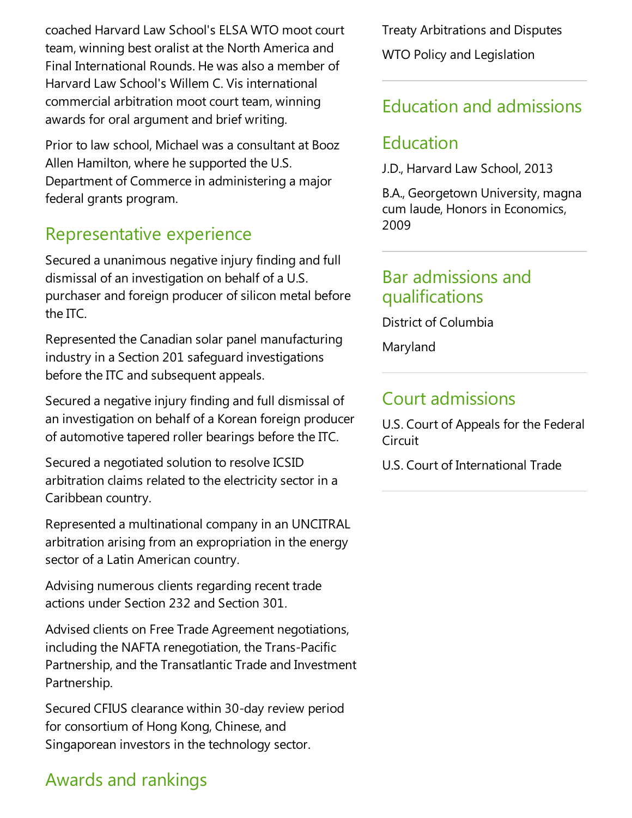coached Harvard Law School's ELSA WTO mootcourt team, winning best oralist at the North America and Final International Rounds. He was also a member of Harvard Law School's Willem C. Vis international commercial arbitration moot court team, winning awards for oral argument and brief writing.

Prior to law school, Michael was a consultant at Booz Allen Hamilton, where he supported the U.S. Department of Commerce in administering a major federal grants program.

## Representative experience

Secured a unanimous negative injury finding and full dismissal of an investigation on behalf of a U.S. purchaser and foreign producer of silicon metal before the ITC.

Represented the Canadian solar panel manufacturing industry in a Section 201 safeguard investigations before the ITC and subsequent appeals.

Secured a negative injury finding and full dismissal of an investigation on behalf of a Korean foreign producer of automotive tapered roller bearings before the ITC.

Secured a negotiated solution to resolve ICSID arbitration claims related to the electricity sector in a Caribbean country.

Represented a multinational company in an UNCITRAL arbitration arising from an expropriation in the energy sector of a Latin American country.

Advising numerous clients regarding recent trade actions under Section 232 and Section 301.

Advised clients on Free Trade Agreement negotiations, including the NAFTA renegotiation, the Trans-Pacific Partnership, and the Transatlantic Trade and Investment Partnership.

Secured CFIUS clearance within 30-day review period for consortium of Hong Kong, Chinese, and Singaporean investors in the technology sector.

## Awards and rankings

Treaty Arbitrations and Disputes WTO Policy and Legislation

## Education and admissions

### Education

J.D., Harvard Law School, 2013

B.A., Georgetown University, magna cum laude, Honors in Economics, 2009

#### Bar admissions and qualifications

District of Columbia

Maryland

## Court admissions

U.S. Court of Appeals for the Federal Circuit

U.S. Court of International Trade